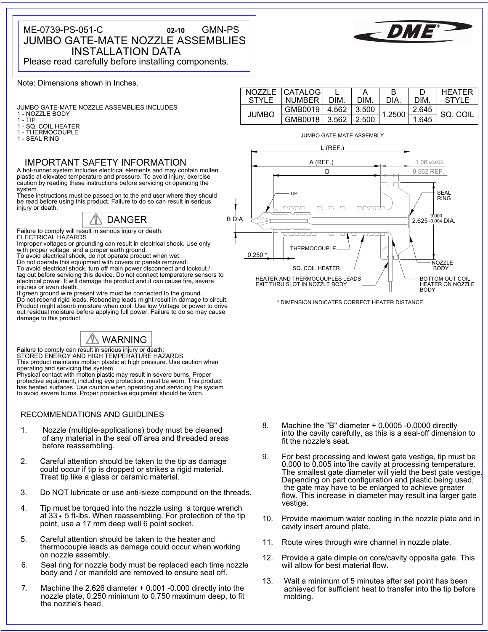## ME-0739-PS-051-C **02-10** GMN-PS JUMBO GATE-MATE NOZZLE ASSEMBLIES INSTALLATION DATA

Please read carefully before installing components.





JUMBO GATE-MATE NOZZLE ASSEMBLIES INCLUDES 1 - NOZZLE BODY 1 - TIP

- 1 SQ. COIL HEATER
- 1 THERMOCOUPLE
- 1 SEAL RING

## IMPORTANT SAFETY INFORMATION

A hot-runner system includes electrical elements and may contain molten plastic at elevated temperature and pressure. To avoid injury, exercise caution by reading these instructions before servicing or operating the system.

These instructions must be passed on to the end user where they should be read before using this product. Failure to do so can result in serious injury or death.



Failure to comply will result in serious injury or death: ELECTRICAL HAZARDS

Improper voltages or grounding can result in electrical shock. Use only with proper voltage and a proper earth ground. To avoid electrical shock, do not operate product when wet.

Do not operate this equipment with covers or panels removed. To avoid electrical shock, turn off main power disconnect and lockout / tag out before servicing this device. Do not connect temperature sensors to electrical power. It will damage the product and it can cause fire, severe injuries or even death.

If green ground wire present wire must be connected to the ground. Do not rebend rigid leads. Rebending leads might result in damage to circuit. Product might absorb moisture when cool. Use low Voltage or power to drive out residual moisture before applying full power. Failure to do so may cause damage to this product.



Failure to comply can result in serious injury or death: STORED ENERGY AND HIGH TEMPERATURE HAZARDS This product maintains molten plastic at high pressure. Use caution when operating and servicing the system. Physical contact with molten plastic may result in severe burns. Proper

protective equipment, including eye protection, must be worn. This product has heated surfaces. Use caution when operating and servicing the system to avoid severe burns. Proper protective equipment should be worn.

## RECOMMENDATIONS AND GUIDLINES

- 1. Nozzle (multiple-applications) body must be cleaned of any material in the seal off area and threaded areas before reassembling.
- 2. Careful attention should be taken to the tip as damage could occur if tip is dropped or strikes a rigid material. Treat tip like a glass or ceramic material.
- 3. Do NOT lubricate or use anti-sieze compound on the threads.
- 4. Tip must be torqued into the nozzle using a torque wrench at  $33 \pm 5$  ft-lbs. When reassembling. For protection of the tip point, use a 17 mm deep well 6 point socket.
- 5. Careful attention should be taken to the heater and thermocouple leads as damage could occur when working on nozzle assembly.
- 6. Seal ring for nozzle body must be replaced each time nozzle body and / or manifold are removed to ensure seal off.
- 7. Machine the 2.626 diameter + 0.001 -0.000 directly into the nozzle plate, 0.250 minimum to 0.750 maximum deep, to fit the nozzle's head.

| STYLE        | NOZZLE CATALOGI<br><b>NUMBER</b> | DIM.  | DIM.        | в<br><b>DIA</b> | <b>DIM</b> | <b>HFATFR</b><br>STYLE |  |
|--------------|----------------------------------|-------|-------------|-----------------|------------|------------------------|--|
| <b>JUMBO</b> | GMB0019                          |       | 4.562 3.500 | 1.2500          | 2.645      | SQ. COIL               |  |
|              | GMB0018                          | 3.562 | 2.500       |                 | 1.645      |                        |  |



\* DIMENSION INDICATES CORRECT HEATER DISTANCE.

- 8. Machine the "B" diameter + 0.0005 -0.0000 directly into the cavity carefully, as this is a seal-off dimension to fit the nozzle's seat.
- 9. For best processing and lowest gate vestige, tip must be 0.000 to 0.005 into the cavity at processing temperature. The smallest gate diameter will yield the best gate vestige. Depending on part configuration and plastic being used, the gate may have to be enlarged to achieve greater flow. This increase in diameter may result ina larger gate vestige.
- 10. Provide maximum water cooling in the nozzle plate and in cavity insert around plate.
- 11. Route wires through wire channel in nozzle plate.
- 12. Provide a gate dimple on core/cavity opposite gate. This will allow for best material flow.
- 13. Wait a minimum of 5 minutes after set point has been achieved for sufficient heat to transfer into the tip before molding.